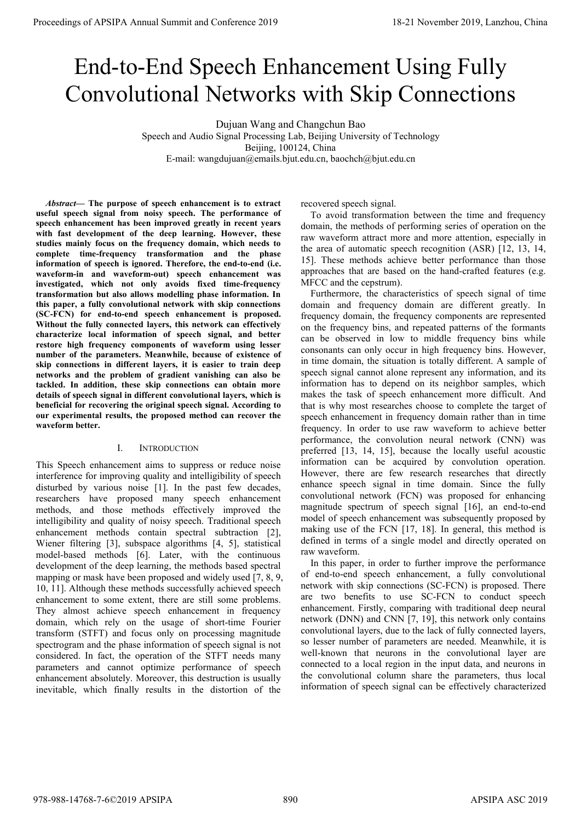# IS of APSIPA Annual Summit and Conference 2019<br>End-to-End Speech Enhancement Using Fully<br>Convolutional Networks with Skip Connections<br>Speech and Audio Signal Processing Lab, Beijing University of Technology<br>E-mail: wangduj ings of APSIPA Annual Summit and Conference 2019<br>
End-to-End Speech Enhancement Using Fully<br>
Convolutional Networks with Skip Connections<br>
Speech and Audio Signal Processing Lab, Beijing University of Technology<br>
E-mail: w nual Summit and Conference 2019<br>
-End Speech Enhancement Using Fully<br>
utional Networks with Skip Connections<br>
Dujuan Wang and Changchun Bao<br>
Speech and Audio Signal Processing Lab, Beijing University of Technology<br>
Beijing nce 2019<br> **h Enhancement Using I**<br>
W**Orks with Skip Conne**<br>
In Wang and Changchun Bao<br>
Processing Lab, Beijing University of Technology<br>
Beijing, 100124, China<br>
(@emails.bjut.edu.cn, baochch@bjut.edu.cn ummit and Conference 2019<br> **18-21 November 2019, Lanzl<br>
18-21 November 2019, Lanzl<br>
18-21 November 2019, Lanzl<br>
18-21 November 2019, Lanzl<br>
18-21 November 2019, Lanzl<br>
18-21 November 2019, Lanzl<br>
2011 USING Fully<br>
2011 Onl End-to-End Speech Enhancement Using Fully<br>Convolutional Networks with Skip Connections**<br>
bujuan Wang and Changchun Bao<br>
Speech and Audio Signal Processing Lab, Beijing University of Technology<br>
E-mail: wangdujuan@emails.b

**CONVOlutional Networks with Skip**<br>
Dujuan Wang and Changchun Bao<br>
Speech and Audio Signal Processing Lab, Beijing University of<br>
E-mail: wangdujuan@emails.bjut.edu.cn, baochch@bjut.<br>
Abstract— The purpose of speech enhanc **Speech and Audio Signal Processing Lab, Beijing University of T<br>
Speech and Audio Signal Processing Lab, Beijing University of T<br>
Beijing, 100124, China<br>
E-mail: wangdujuan@emails.bjut.edu.cn, baochch@bjut.ed<br>** *Abstract***—** Dujuan Wang and Changchun Bao<br>
Speech and Audio Signal Processing Lab, Beijing University of T<br>
Beijing, 100124, China<br>
E-mail: wangdujuan@emails.bjut.edu.cn, baochch@bjut.ed<br>
Abstract— The purpose of speech enhancement is Dujuan Wang and Changchun Bao<br>
Speech and Audio Signal Processing Lab, Beijing University of Tecl<br>
Beijing, 100124, China<br>
E-mail: wangdujuan@emails.bjut.edu.cn, baochch@bjut.edu.c<br> *Abstract*— The purpose of speech enhanc Duyuan Wang and Changchun Bao<br>
Speech and Audio Signal Processing Lab, Beijing University of<br>
Beijing, 100124, China<br>
E-mail: wangdujuan@emails.bjut.edu.cn, baocheh@bjut.ed<br> *Abstract*— The purpose of speech enhancement is Speech and Audio Signal Processing Lab, Beijing University of Te<br>
Beijing, 100124, China<br>
E-mail: wangdujuan@emails.bjut.edu.cn, baochch@bjut.edu<br> *Abstract***—** The purpose of speech enhancement is to extract recovered spe Beijing, 100124, China<br> *Beijing*, 100124, China<br> *Mbstract*— The purpose of speech enhancement is to extract<br>
recovered speech signal.<br>
useful speech enhancement has been improved greatly in recent years<br>
with fast develo E-mail: wangdujuan@emails.bjut.edu.cn, baochch<br> *abstract***—** The purpose of speech enhancement is to extract<br>
useful speech enhancement has been improved greatly in recent years<br>
speech enhancement has been improved great *Abstract***— The purpose of speech enhancement is to extract<br>
useful speech signal from noisy speech. The performance of To avoid transformation<br>
speech enhancement has been improved greatly in recent years<br>
with fast dev** *Abstract***— The purpose of speech enhancement is to extract recovered speech shares useful speech enhancement has been inproved greatly in recent years with fast development of the deep learning. However, these studies ma (SC-FCN)** for end-to-end speech enhancement is to extract incovered speech signals and form and waveform information of the deep learning. However, these total statios analy focus on the frequency domain, which needs to a **Abstract— The purpose of speech enhancement is to extract** recovered speech signal from noisy speech. The performance of To avoid transfo<br>speech enhancement has been improved greatly in recent years<br>with fast development **characterize** in the purpose of speech emancement is to extant<br>the dech signal from noisy speech. The performance of To avoid transformation<br>speech enhancement has been improved greatly in recent years<br>of the fact of the **Example to the proposition of the station of the environmer of the deep learning.** However, these than the methods of studies mainly focus on the frequency domain, which needs to complete time-frequency transformation and **Exerce the manuement has been moving the set in the moving the set in the most of person attact more studies mainly focus on the frequency domain, which needs to the area of automatic precement of speech is ignored. There** Which and the the seep training: Invevering the seep the seep the seep the seep the seep the seep the seep the seep the seep the seep than the seep to the seep the seep to the seep the seep the seep to the seep the seep th structure manning weally but in the expective of the problem of speech is ignored. Therefore, the end-to-end (i.e. and the problem of speech is ignored. Therefore, the end-to-end (i.e. and the problem of speech is ignored. **the tank-triguency complete to the more of the skip connection** and the phase methods activated, which not only avoids fixed time-frequency MFCC and the cepstrum transformation but also allows modelling phase information. **HERE SET IS and the speech signal in different convolutional alyers, which is the speech enhancement was<br>
investigated, which not only avoids fixed time-frequency MFCC and the cepstrum).<br>
<b>transformation but also allows m beneficial which notion-** which and wavefour-<br> **beneficial which not only avoids fixed time-frequency** MFCC and the cepstrum).<br> **transformation but also allows modelling phase information. In** Furthermore, the charact<br>
th **Experience the method can recover the**<br> **our experimental results and the served in the cancel of the characterize local information of speech enhancement is proposed.<br>
<b>(SC-FCN)** for end-to-end speech enhancement is prop realistormation but also allows inducing phat<br>this paper, a fully convolutional network with<br>(SC-FCN) for end-to-end speech enhancem<br>Without the fully connected layers, this netwo<br>characterize local information of speech s nvolutional network with skip connections<br>
o-end speech enhancement is proposed.<br>
inected layers, this network can effectively<br>
oformation of speech signal, and better<br>
cy components of waveform using lesser<br>
neters. Meanw Without the fully connected layers, this network can effectively<br>
connectively<br>
connections in different ayers, this network can defect the frequency bins, and<br>
rearror high frequency components of waveform using lesser<br>
n characterize local information of speech signal, and better<br>
can be observed in low<br>
rannew components of waveform using lesser<br>
number of the parameters. Meanwhile, because of existence of<br>
skip connections in different l restore high frequency components of waveform using lesser<br>
number of the parameters. Meanwhile, because of existence of<br>
skip connections in different layers, it is easier to train deep<br>
in time domain, the situs<br>
network

number of the parameters. Meanwhile, because of existence of<br>skip connections in different layers, it is easier to train deep<br>networks and the problem of gradient vanishing can also be<br>details of speech signal in different stap connections in different layers, it is easier to train deep<br>
networks and the problem of gradient vanishing can also be speech signal cannot alone re<br>
tackled. In addition, these skip connections can obtain more<br>
bene neworks and the problem of gradient vanising can associate the energy and development of the deel energies and development of the deel energies and development of the deel energies (development of the deel energies and dev Entained a magnitude speech enhancement<br>
adetails of speech signal in different convolutional layers, which is<br>
beneficial for recovering the original speech signal. According to<br>
beneficial for recovering the original spe Somethial for recovering the original speech signal. According to that is why most resear<br>our experimental results, the proposed method can recover the speech enhancement in<br>waveform better.<br>I. INTRODUCTION performance, th our experimental results, the proposed method can recover the<br>waveform better.<br>Waveform better.<br>In order the speech enhancement is<br>not performance, the continuous pure information can be<br>information and the past few decade **Example 19** waveform better.<br>
I. INTRODUCTION<br>
I. INTRODUCTION<br>
This Speech enhancement aims to suppress or reduce noise<br>
information can be accordered [13, 14, 15],<br>
disturbed by various noise [1]. In the past few decad I. INTRODUCTION<br>
Friend (13, 14, 15), because<br>
inference for improving quality and intelligibility of speech<br>
inference for improving quality and intelligibility of speech<br>
inference for improving quality and intelligibili 1. INTRODUCTION<br>
1. INTRODUCTION<br>
preferred [13, 14, 15], b<br>
information can be accordinent achieved by various noise [1]. In the past few decades,<br>
information can be accordinent disturbed by various noise [1]. In the pa This Speech enhancement aims to suppress or reduce noise<br>
information can be<br>
interference for improving quality and intelligibility of speech<br>
disturbed by various noise [1]. In the past few decades,<br>
enhance speech sign This speech enhancement aims to suppress or reduce noise<br>
interference for improving quality and intelligibility of speech disturbed by various noise [1]. In the past few decades, enhance speech signaresearchers have prop meerterence for improving quarity and intelligibility of speech inhacters<br>domain and the presence of the state of the decades, enhance speech signal<br>researchers have proposed many speech enhancement convolutional network ( disturbed by various noise [1]. In the past rew decades,<br>
remained convolutional network<br>
methods, and those methods effectively improved the magnitude spectrum<br>
intelligibility and quality of noisy speech. Traditional spe researchers have proposed many specte ennancement<br>
methods, and those methods enfectively improved the magnitude spectrum of speece<br>
intelligibility and quality of noisy speech. Traditional speech magnitude spectrum of spe methods, and those methods errectively improved the methods on the manufolly of noisy speech. Traditional speech ences considered in terms of a single enchancement methods contain spectral subtraction [2], waking use of th meeniancement methods contain speech. I radiumal speech cannot methods or the FCN [Wiener filtering [3], subspace algorithms [4, 5], statistical defined in terms of a sing model-based methods [6]. Later, with the continuou enhancement menota contain spectral subtraction [2], subspace algorithms [4, 5], statistical defined in terms of a sin model-based methods [6]. Later, with the continuous and model-based methods [6]. Later, with the conti wener furtering [3], subspace agorrunns [4, 3], statistical<br>
model-based methods [6]. Later, with the continuous raw waveform.<br>
development of the deep learning, the methods based spectral In this paper, in order to fi<br>
ma

Trictrich Skip Connections<br>
angehun Bao<br>
Beijing University of Technology<br>
China<br>
u.cn, baochch@bjut.edu.cn<br>
covered speech signal.<br>
To avoid transformation between the time and frequency<br>
main, the methods of performing s With Skip Connections<br>
Changchun Bao<br>
, Beijing University of Technology<br>
24, China<br>
edu.cn, baochch@bjut.edu.cn<br>
To avoid transformation between the time and frequency<br>
domain, the methods of performing series of operatio **WITH SKIP CONNECTIONS**<br>
Changehun Bao<br>
2, Beijing University of Technology<br>
24, China<br>
24, China<br>
atu.cn, baochch@bjut.edu.cn<br>
recovered speech signal.<br>
To avoid transformation between the time and frequency<br>
domain, the Thangchun Bao<br>
2, Beijing University of Technology<br>
24, China<br>
24, China<br>
24, China<br>
24, China<br>
24, China<br>
24, China<br>
24, China<br>
24, China<br>
24, China<br>
24, China<br>
24, China<br>
26, China<br>
26, China<br>
26, China<br>
26, China<br>
26, C Thangchun Bao<br>
2, Beijing University of Technology<br>
24, China<br>
edu.cn, baochch@bjut.edu.cn<br>
recovered speech signal.<br>
To avoid transformation between the time and frequency<br>
domain, the methods of performing series of oper Transportun Bao<br>
2, Beijing University of Technology<br>
24, China<br>
edu.cn, baochch@bjut.edu.cn<br>
recovered speech signal.<br>
To avoid transformation between the time and frequency<br>
domain, the methods of performing series of o S, Beijing University of Technology<br>24, China<br>edu.cn, baochch@bjut.edu.cn<br>recovered speech signal.<br>To avoid transformation between the time and fi<br>domain, the methods of performing series of operatic<br>raw waveform attract m China<br>
Leman (Characteristic of speech signal To avoid transformation between the time and frequency<br>
main, the methods of performing series of operation on the<br>
w waveform attract more and more attention, especially in<br>
e eau.cn, baochch@bjut.eau.cn<br>
To avoid transformation between the time and frequency<br>
domain, the methods of performing series of operation on the<br>
raw waveform attract more and more attention, especially in<br>
the area of au recovered speech signal.<br>To avoid transformation between the time and frequency<br>domain, the methods of performing series of operation on the<br>raw waveform attract more and more attention, especially in<br>the area of automatic

recovered speech signal.<br>To avoid transformation between the time and frequency<br>domain, the methods of performing series of operation on the<br>raw waveform attract more and more attention, especially in<br>the area of automatic recovered speech signal.<br>To avoid transformation between the time and frequency<br>domain, the methods of performing series of operation on the<br>raw waveform attract more and more attention, especially in<br>the area of automatic recovered speech signal.<br>To avoid transformation between the time and frequency<br>domain, the methods of performing series of operation on the<br>raw waveform attract more and more attention, especially in<br>the area of automatic Io avoid transformation between the time and requency<br>domain, the methods of performing series of operation on the<br>raw waveform attract more and more attention, especially in<br>the area of automatic speech recognition (ASR) domain, the methods of performing series of operation on the<br>raw waveform attract more and more attention, especially in<br>the area of automatic speech recognition (ASR) [12, 13, 14,<br>15]. These methods achieve better perform raw waveform attract more and more attention, especially in<br>the area of automatic speech recognition (ASR) [12, 13, 14,<br>15]. These methods achieve better performance than those<br>approaches that are based on the hand-crafted the area of automatic speech recognition (ASK) [12, 13, 14, 15]. These methods achieve better performance than those approaches that are based on the hand-crafted features (e.g. MFCC and the cepstrum). Furthermore, the ch 15]. Inese methods achieve better performance than those<br>approaches that are based on the hand-crafted features (e.g.<br>MFCC and the cepstrum).<br>Furthermore, the characteristics of speech signal of time<br>domain and frequency d approaches that are based on the hand-crafted reatures (e.g.<br>
MFCC and the cepstrum).<br>
Furthermore, the characteristics of speech signal of time<br>
domain and frequency domain are different greatly. In<br>
drequency domain, the MFCC and the cepstrum).<br>
Furthermore, the characteristics of speech signal of time<br>
dromain and frequency domain are different greatly. In<br>
drequency domain, the frequency components are represented<br>
on the frequency bins, Furthermore, the characteristics of speech signal of time<br>domain and frequency domain are different greatly. In<br>frequency domain, the frequency components are represented<br>on the frequency bins, and repeated patterns of the domain and requency domain are dirierent greatly. In<br>frequency domain, the frequency components are represented<br>on the frequency bins, and repeated patterns of the formants<br>can be observed in low to middle frequency bins w information and the mediator of the formation and be observed in low to middle frequency bins, while<br>can be observed in low to middle frequency bins while<br>consonants can only occur in high frequency bins. However,<br>in time on the requency bins, and repeated patterns of the formants<br>can be observed in low to middle frequency bins while<br>consonants can only occur in high frequency bins. However,<br>in time domain, the situation is totally differen can be observed in low to middle requency bins while<br>consonants can only occur in high frequency bins. However,<br>in time domain, the situation is totally different. A sample of<br>speech signal cannot alone represent any infor consonants can omly occur in migh requency bins. However,<br>in time domain, the situation is totally different. A sample of<br>speech signal cannot alone represent any information, and its<br>information has to depend on its neigh in ume domain, the situation is totally dirierent. A sample of speech signal cannot alone represent any information, and its meantles which imformation has to depend on its neighbor samples, which makes the task of speech speech signal cannot alone represent any information, and its<br>information has to depend on its neighbor samples, which<br>makes the task of speech enhancement more difficult. And<br>that is why most researches choose to complete mormation has to depend on its neignbor samples, which<br>makes the task of speech enhancement more difficult. And<br>the is why most researches choose to complete the target of<br>speech enhancement in frequency domain rather than makes the task of speech enhancement more difficult. And<br>that is why most researches choose to complete the target of<br>speech enhancement in frequency domain rather than in time<br>frequency. In order to use raw waveform to ac that is why most researches choose to con<br>speech enhancement in frequency domain<br>frequency. In order to use raw waveforr<br>performance, the convolution neural ne<br>preferred [13, 14, 15], because the loca<br>information can be ac eech enhancement in requency domain rather than in time<br>
reformance, the convolution neural network (CNN)<br>
ference (13, 14, 15), because the locally useful acoustic<br>
formation can be acquired by convolution operation.<br>
Sol requency. In order to use raw waveform to achieve better<br>performance, the convolution neural network (CNN) was<br>preferred [13, 14, 15], because the locally useful acoustic<br>information can be acquired by convolution operatio performance, the convolution neural network (CNN) was<br>preferred [13, 14, 15], because the locally useful acoustic<br>information can be acquired by convolution operation.<br>However, there are few research researches that direct preferred [15, 14, 15], because the locally useful acoustic<br>information can be acquired by convolution operation.<br>However, there are few research researches that directly<br>convolutional network (FCN) was proposed for enhanc **Proceedings of APSIPA Annual Summit at China 978-988-1699**<br>
From Conference 2019 2011 November 2019 2012 November 2019 2012 November 2019 2012 November 2019 2013 November 2019 2013 November 2019 2013 November 2019 2013 N

mormation can be acquired by convolution operation.<br>However, there are few research researches that directly<br>enhance speech signal in time domain. Since the fully<br>convolutional network (FCN) was proposed for enhancement<br>ma However, there are rew research researches that directly<br>
enhance speech signal in time domain. Since the fully<br>
convolutional network (FCN) was proposed for enhancing<br>
magnitude spectrum of speech signal [16], an end-to-e ennance speech signal in time domain. Since the fully<br>convolutional network (FCN) was proposed for enhancing<br>magnitude spectrum of speech signal [16], an end-to-end<br>model of speech enhancement was subsequently proposed by<br> convolutional network (FCN) was proposed for ennancing<br>magnitude spectrum of speech signal [16], an end-to-end<br>model of speech enhancement was subsequently proposed by<br>making use of the FCN [17, 18]. In general, this metho magnitude spectrum of speech signal [16], an end-to-end<br>model of speech enhancement was subsequently proposed by<br>making use of the FCN [17, 18]. In general, this method is<br>defined in terms of a single model and directly op model or speech enhancement was subsequently proposed by<br>making use of the FCN [17, 18]. In general, this method is<br>defined in terms of a single model and directly operated on<br>raw waveform.<br>In this paper, in order to furth making use of the FCN [17, 18]. In general, this method is<br>defined in terms of a single model and directly operated on<br>raw waveform.<br>In this paper, in order to further improve the performance<br>of end-to-end speech enhanceme derined in terms of a single model and directly operated on<br>a raw waveform.<br>In this paper, in order to further improve the performance<br>of end-to-end speech enhancement, a fully convolutional<br>network with skip connections (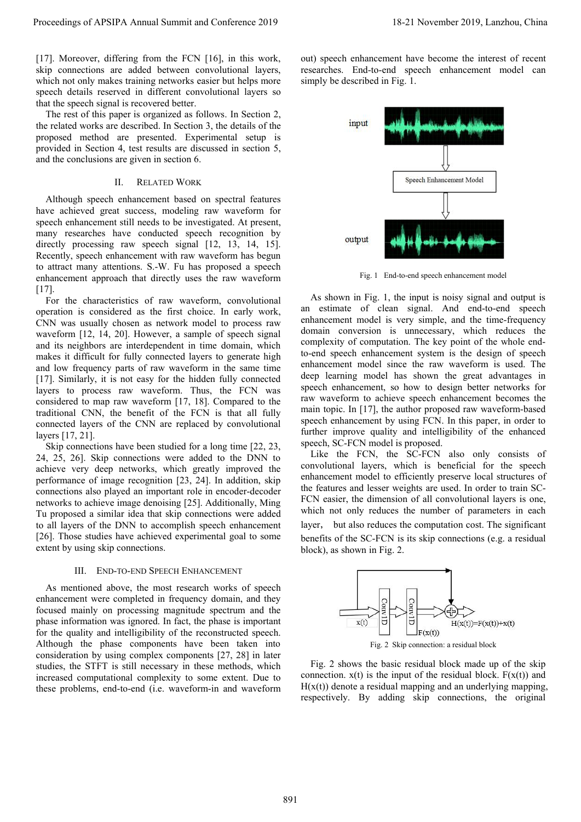Proceedings of APSIPA Annual Summit and Conference 2019<br>
[17]. Moreover, differing from the FCN [16], in this work, out) speech enhancement h<br>
skip connections are added between convolutional layers, researches. End-to-end Proceedings of APSIPA Annual Summit and Conference 2019<br>
[17]. Moreover, differing from the FCN [16], in this work, out) speech enhancement<br>
skip connections are added between convolutional layers, researches. End-to-end<br> Proceedings of APSIPA Annual Summit and Conference 2019<br>
[17]. Moreover, differing from the FCN [16], in this work, out) speech enhancement h<br>
skip connections are added between convolutional layers, researches. End-to-end Proceedings of APSIPA Annual Summit and Conference 2019<br>
[17]. Moreover, differing from the FCN [16], in this work, out) speech enhancement have<br>
skip connections are added between convolutional layers, esearches. End-to-e Proceedings of APSIPA Annual Summit and Conference 2019<br>
[17]. Moreover, differing from the FCN [16], in this work, out) s<br>
skip connections are added between convolutional layers, reseau<br>
which not only makes training net concedings of APSIPA Annual Summit and Conference 2019 18-21 N<br>
7]. Moreover, differing from the FCN [16], in this work, out) speech enhancement have<br>
the rest or different convolutional layers, researches. End-to-end spee

Proceedings of APSIPA Annual Summit and Conference 2019 18-21 1<br>
[17]. Moreover, differing from the FCN [16], in this work, out) speech enhancement have<br>
skip connections are added between convolutional layers, exerches. E Proceedings of APSIPA Annual Summit and Conference 2019<br>
[17]. Moreover, differing from the FCN [16], in this work, out) speech enhancement have<br>
skip connections are added between convolutional layers, researches. End-to-Proceedings of APSIPA Annual Summit and Conference 2019<br>
[17]. Moreover, differing from the FCN [16], in this work, out) speech enhancement have<br>
skip connections are added between convolutional layers, researches. End-to-Proceedings of APSIPA Annual Summit and Conference 2019<br>
[17]. Moreover, differing from the FCN [16], in this work, out) speecl<br>
skip connections are added between convolutional layers, researches.<br>
which not only makes tr The Section of the FCN [16], in this work,<br>readded between convolutional layers,<br>rest training networks easier but helps more since<br>rved in different convolutional layers so<br>al is recovered better.<br>aper is organized as fol 7]. Moreover, differing from the FCN [16], in this work, out) speech enhancement<br>
ip connections are added between convolutional layers, researches. End-to-end<br>
eich not only makes training networks easier but helps more<br>

skip connections are added between convolutional layers, researches. End-to-end speech details research achieved in different convolutional layers so that the speech signal is recovered better.<br>
The rest of this paper is o which not only makes training networks easier but helps more<br>speech details reserved in different convolutional layers so<br>that the speech signal is recovered better.<br>The rest of this paper is organized as follows. In Secti speech details reserved in different convolutional layers so<br>
The rest of this paper is organized as follows. In Section 2,<br>
the related works are described. In Section 3, the details of the<br>
proposed method are presented. that the speech signal is recovered better.<br>
The rest of this paper is organized as follows. In Section 2,<br>
the related works are described. In Section 3, the details of the<br>
proposed method are presented. Experimental set The rest of this paper is organized as follows. In Section 2,<br>the related works are described. In Section 3, the details of the<br>proposed method are presented. Experimental setup is<br>provided in Section 4, test results are d the related works are described. In Section 3, the details of the<br>
proposed method are presented. Experimental setup is<br>
provided in Section 4, test results are discussed in section 5,<br>
and the conclusions are given in sec proposed method are presented. Experimental setup is<br>provided in Section 4, test results are discussed in section 5,<br>and the conclusions are given in section 6.<br>II. RELATED WORK<br>Although speech enhancement till needs to be  $[17]$ . d the conclusions are given in section 6.<br>
II. RELATED WORK<br>
Although speech enhancement based on spectral features<br>
ve achieved great success, modeling raw waveform for<br>
every achieved speech enhancement still needs to be II. RELATED WORK<br>
II. RELATED WORK<br>
have achieved great success, modeling raw waveform for<br>
speech enhancement still needs to be investigated. At present,<br>
directly processing raw speech signal [12, 13, 14, 15].<br>
Recently, II. RELATED WORK<br>
Michough speech enhancement based on spectral features<br>
have achieved great success, modeling raw waveform for<br>
speech enhancement still needs to be investigated. At present,<br>
many researches have conduct Although speech enhancement based on spectral features<br>have achieved great success, modeling raw waveform for<br>speech enhancement still needs to be investigated. At present,<br>many researches have conducted speech recognitio

Although speech enhancement based on spectral reatures<br>
have achieved great success, modeling raw waveform for<br>
speech enhancement still needs to be investigated. At present,<br>
many researches have conducted speech recognit makes increases incolled and the mean till needs to be investigated. At present enhancement still meat and the search is denoted speech enhancement with raw waveform has begun to attract many attentions. S.-W. Fu has propo speech ennancement sun needs to be messugded. At present,<br>
may research since contractly processing raw speech signal [12, 13, 14, 15].<br>
Recently, speech enhancement with raw waveform has begun<br>
to attract many attentions. many researches nave conducted speech recognition by<br>directly processing raw speech signal [12, 13, 14, 15].<br>Recently, speech enhancement with raw waveform has begun<br>to attract many attentions. S.-W. Fu has proposed a spee decently, processing raw speech signal [12, 13, 14, 15].<br>
Recently, speech enhancement with raw waveform as begun<br>
to attract many attentions. S.-W. Fu has proposed a speech<br>
enhancement approach that directly uses the raw Exercity, species management will raw waveform as begun to attract may detect enhancement approach that directly uses the raw waveform [17].<br>
For the characteristics of raw waveform, convolutional and is expected to proper to attract many attentions. S.-w. Fu has proposed a specent<br>
enhancement approach that directly uses the raw waveform<br>
[17]. For the characteristics of raw waveform, convolutional<br>
CNN was usually chosen as network model entrancement approach that directly uses the raw waveform<br>
[17].<br>
For the characteristics of raw waveform, convolutional<br>
CNN was usually chosen as network model to process raw<br>
estimate of<br>
cCNN was usually chosen as net [17]. For the characteristics of raw waveform, coperation is considered as the first choice. In CNN was usually chosen as network model to waveform [12, 14, 20]. However, a sample of s and its neighbors are interdependent For the characteristics of raw waveform, convolutional<br>
For the cartion is considered as the first choice. In early work,<br>
NN was usually chosen as network model to process raw<br>
methem (12, 14, 20). However, a sample of sp operator is considered as the rist cnoic. In early work,<br>
CNN was usually chosen as network model to process raw<br>
waveform [12, 14, 20]. However, a sample of speech signal<br>
and its neighbors are interdependent in time doma Exity was usually conser as neuvor model to process raw<br>
waveform [12, 14, 20]. However, a sample of speech signal<br>
admanin conversion is unm<br>
and its neighbors are interdependent in time domain, which<br>
and its neighbors waveform [12, 14, 20]. However, a sample of speech signal<br>and its meighbors are interdependent in time domain, which makes it difficult for fully connected layers to generate high<br>and low frequency parts of raw waveform i

and its neighbors are interdependent in time domain, which the makes it difficult for fully connected layers to grow waveform in the same time<br>
and low frequency parts of raw waveform in the same time<br>
[17]. Similarly, it makes it diricult for fluid cometed agres to generate ing and low frequency parts of raw waveform in the same time<br>
and [17]. Similarly, it is not easy for the hidden fully connected<br>
leap learning model has<br>
layers to pro and low requency parts of raw waveform in the same time<br>
I(17). Similarly, it is not easy for the hidden fully connected<br>
Iayers to process raw waveform. Thus, the FCN was<br>
speech enhancement, so h<br>
considered to map raw [17]. Similarly, it is not easy for the hidden fully connected<br>algers to process raw waveform. Thus, the FCN was<br>considered to map raw waveform [17, 18]. Compared to the raw waveform to a<br>traditional CNN, the benefit of t mayers to process raw waveform. Thus, the FCN was the considered to map raw waveform to achieve some determinant of the FCN is that all fully and the considered layers of the CNN are replaced by convolutional speech enhanc considered to map raw waveform [17, 18]. Compared to traditional CNN, the benefit of the FCN is that all fi<br>connected layers of the CNN are replaced by convolutio<br>layers [17, 21]. Skip connections have been studied for a The same of the CNN are replaced by convolutional<br>
The same fitter<br>
In the same fitter<br>
fol. Skip connections were added to the DNN to<br>
Like<br>
of the present, which greatly improved the<br>
convolution<br>
ince of image recogniti Skip connections have been studied for a long time [22, 23, speech, SC-FCN model is a convolutional speech such is the FCN, the convolutional layers, which mere very deep networks, which in greatly improved the features o 24, 25, 26]. Skip connections were added to the DNN to<br>
achieve very deep networks, which greatly improved the<br>
performance of image recognition [23, 24]. In addition, skip<br>
emhancement model to efficient the encoder-deco achieve very deep networks, which greatly improved the<br>
performance of image recognition [23, 24]. In addition, skip<br>
connections also played an important role in encoder-decoder<br>
connections also played an important role

performance of image recognition [23, 24]. In addition, skip<br>connections also played an important role in encoder-decoder<br>metworks to achieve image denoising [25]. Additionally, Ming<br>Tu proposed a similar idea that skip co connections also played an important role in encoder-decoder<br>networks to achieve image denoising [25]. Additionally, Ming<br>Tu proposed a similar idea that skip connections were added<br>to all layers of the DNN to accomplish networks to achieve image denoising [25]. Additionally, Ming<br>
Tu proposed a similar idea that skip connections were added<br>
to all layers of the DNN to accomplish speech enhancement<br>
[26]. Those studies have achieved experi Tu proposed a similar idea that skip connections were added<br>
to all layers of the DNN to accomplish speech enhancement<br>
[26]. Those studies have achieved experimental goal to some<br>
lenefits of the SC-FCN is its<br>
extent by to all layers of the DNN to accomplish speech enhancement<br>
[26]. Those studies have achieved experimental goal to some<br>
sextent by using skip connections.<br>
Sextent by using skip connections.<br>
III. END-TO-END SPEECH ENHANC [26]. Those studies have achieved experimental goal to some<br>
sextent by using skip connections.<br>
Sextent by using skip connections.<br>
III. END-TO-END SPEECH ENHANCEMENT<br>
As mentioned above, the most research works of speec extent by using skip connections.<br>
III. END-TO-END SPEECH ENHANCEMENT<br>
As mentioned above, the most research works of speech<br>
enhancement were completed in frequency domain, and they<br>
focused mainly on processing magnitude

18-21 November 2019, Lanzhou, China<br>out) speech enhancement have become the interest of recent<br>researches. End-to-end speech enhancement model can<br>simply be described in Fig. 1. 18-21 November 2019, Lanzhou, China<br>out) speech enhancement have become the interest of recent<br>researches. End-to-end speech enhancement model can<br>simply be described in Fig. 1. 18-21 November 2019, Lanzhou, China<br>
out) speech enhancement have become the interest of recent<br>
researches. End-to-end speech enhancement model can<br>
simply be described in Fig. 1.



speech Enhancement Model<br>
Fig. 1 End-to-end speech enhancement model<br>
As shown in Fig. 1, the input is noisy signal and output is<br>
an estimate of clean signal. And end-to-end speech<br>
enhancement model is very simple, and t domain conversion is the set of clean signal and output and estimate of clean signal. And end-to-end speech enhancement model is very simple, and the time-frequency domain conversion is unnecessary, which reduces the compl output<br>
Fig. 1 End-to-end speech enhancement model<br>
As shown in Fig. 1, the input is noisy signal and output is<br>
an estimate of clean signal. And end-to-end speech<br>
enhancement model is very simple, and the time-frequency<br> output<br>
Fig. 1 End-to-end speech enhancement model<br>
As shown in Fig. 1, the input is noisy signal and output is<br>
an estimate of clean signal. And end-to-end speech<br>
enhancement model is very simple, and the time-frequency<br> enhancement model<br>
enhancement model<br>
enhancement model<br>
As shown in Fig. 1, the input is noisy signal and output is<br>
an estimate of clean signal. And end-to-end speech<br>
enhancement model is very simple, and the time-frequ output<br>
Fig. 1 End-to-end speech enhancement model<br>
As shown in Fig. 1, the input is noisy signal and output is<br>
an estimate of clean signal. And end-to-end speech<br>
enhancement model is very simple, and the time-frequency<br> Fig. 1 End-to-end speech enhancement model<br>As shown in Fig. 1, the input is noisy signal and output is<br>an estimate of clean signal. And end-to-end speech<br>enhancement model is very simple, and the time-frequency<br>domain conv Fig. 1 End-to-end speech enhancement model<br>As shown in Fig. 1, the input is noisy signal and output is<br>an estimate of clean signal. And end-to-end speech<br>enhancement model is very simple, and the time-frequency<br>domain conv Fig. 1 End-to-end speech enhancement model<br>As shown in Fig. 1, the input is noisy signal and output is<br>an estimate of clean signal. And end-to-end speech<br>enhancement model is very simple, and the time-frequency<br>domain conv Fig. 1 End-to-end speech enhancement model<br>As shown in Fig. 1, the input is noisy signal and output is<br>an estimate of clean signal. And end-to-end speech<br>enhancement model is very simple, and the time-frequency<br>domain conv As shown in Fig. 1, the input is noisy signal and output is<br>an estimate of clean signal. And end-to-end speech<br>enhancement model is very simple, and the time-frequency<br>domain conversion is unnecessary, which reduces the<br>co As shown in Fig. 1, the input is noisy signal and output is<br>an estimate of clean signal. And end-to-end speech<br>enhancement model is very simple, and the time-frequency<br>domain conversion is unnecessary, which reduces the<br>co esumate of clean signal. And end-to-end speech<br>hancement model is very simple, and the time-frequency<br>main conversion is unnecessary, which reduces the<br>mplexity of computation. The key point of the whole end-<br>end speech en enhancement model is very simple, and the time-rrequency<br>domain conversion is unnecessary, which reduces the<br>complexity of computation. The key point of the whole end-<br>to-end speech enhancement system is the design of spee domain conversion is unnecessary, which reduces the complexity of computation. The key point of the whole end-<br>to-end speech enhancement system is the design of speech<br>enhancement model since the raw waveform is used. The<br> complexity of computation. The key point of the whole end-<br>to-end speech enhancement system is the design of speech<br>enhancement model since the raw waveform is used. The<br>deep learning model has shown the great advantages i Proceedings of APSIPA Annual Summit and Conference 2019<br>
For the conference of Conference 2019, (Fig. 10), the state of Conference 2019, the conference 2019 in the conference 2019 in the conference 2019 in the conference

to-end speech enhancement system is the design of speech<br>enhancement model since the raw waveform is used. The<br>deep learning model has shown the great advantages in<br>speech enhancement, so how to design better networks for<br> ennancement model since the raw waveform is used. The<br>deep learning model has shown the great advantages in<br>speech enhancement, so how to design better networks for<br>raw waveform to achieve speech enhancement becomes the<br>ma something moment so how to design better networks for speech enhancement, so how to design better networks for raw waveform to achieve speech enhancement becomes the main topic. In [17], the author proposed raw waveform-ba raw waveform to achieve speech enhancement becomes the main topic. In [17], the author proposed raw waveform-based speech enhancement by using FCN. In this paper, in order to further improve quality and intelligibility of main topic. In [17], the author proposed raw waveform-based<br>speech enhancement by using FCN. In this paper, in order to<br>further improve quality and intelligibility of the enhanced<br>speech, SC-FCN model is proposed.<br>Like the

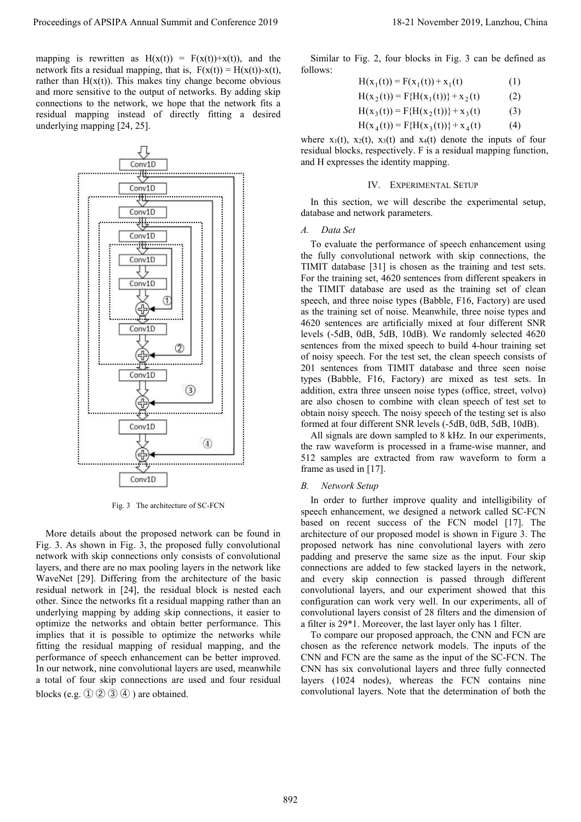Proceedings of APSIPA Annual Summit and Conference 2019 18-21 1<br>
mapping is rewritten as  $H(x(t)) = F(x(t))+x(t)$ , and the Similar to Fig. 2, four bloometwork fits a residual mapping, that is,  $F(x(t)) = H(x(t)) - x(t)$ , follows:<br>
rather than Proceedings of APSIPA Annual Summit and Conference 2019<br>
mapping is rewritten as  $H(x(t)) = F(x(t)) + x(t)$ , and the Similar to Fig. 2,<br>
network fits a residual mapping, that is,  $F(x(t)) = H(x(t)) - x(t)$ , follows:<br>
rather than  $H(x(t))$ . This m Proceedings of APSIPA Annual Summit and Conference 2019 18<br>
mapping is rewritten as  $H(x(t)) = F(x(t)) + x(t)$ , and the Similar to Fig. 2, four<br>
network fits a residual mapping, that is,  $F(x(t)) = H(x(t)) - x(t)$ , follows:<br>
rather than  $H(x(t))$ Proceedings of APSIPA Annual Summit and Conference 2019<br>
mapping is rewritten as  $H(x(t)) = F(x(t))+x(t)$ , and the<br>
network fits a residual mapping, that is,  $F(x(t)) = H(x(t))-x(t)$ , follows:<br>
rather than  $H(x(t))$ . This makes tiny change be Proceedings of APSIPA Annual Summit and Conference 2019<br>
mapping is rewritten as  $H(x(t)) = F(x(t))+x(t)$ , and the Similar to Fig. 2, four block<br>
network fits a residual mapping, that is,  $F(x(t)) = H(x(t))-x(t)$ , follows:<br>
rather than  $H(x$ Proceedings of APSIPA Annual Summit and Conference 2019<br>
mapping is rewritten as  $H(x(t)) = F(x(t))+x(t)$ , and the Similar to Fig. 2, four<br>
network fits a residual mapping, that is,  $F(x(t)) = H(x(t))-x(t)$ , follows:<br>
rather than  $H(x(t))$ . T Proceedings of APSIPA Annual Summit and Conference 2019<br>mapping is rewritten as  $H(x(t)) = F(x(t))+x(t)$ , and the<br>network fits a residual mapping, that is,  $F(x(t)) = H(x(t))-x(t)$ ,<br>rather than  $H(x(t))$ . This makes tiny change become obvious



obtain noisy speech<br>
Conv1D<br>
Conv1D<br>
(Conv1D<br>
The raw waveform at four different at our different at our different at our different at our different of sc-FCN<br>
Fig. 3 The architecture of SC-FCN<br>
Fig. 3. As shown in Fig. 3, Conv10<br>
all signals are down sample<br>
all signals are down sample<br>
the raw waveform is process<br>
frame as used in [17].<br>
Conv10<br>
Fig. 3 The architecture of SC-FCN<br>
Fig. 3 The architecture of SC-FCN<br>
Fig. 3 The architecture o All signals are down sample the raw waveform is proces<br>
Fig. 3 The architecture of SC-FCN and proposed in the raw waveform is proces<br>
from an order to the proposed network can be found in<br>
Fig. 3. As shown in Fig. 3, the p Fig. 3. As shown in Fig. 3. As shown in Fig. 3. As shown in Fig. 3. The architecture of SC-FCN and contribute the mement, we details about the proposed network can be found in the based on recent success based on recent su S12 samples are extracted fr<br>
frame as used in [17].<br>
Conv10<br>
Fig. 3 The architecture of SC-FCN<br>
Fig. 3 The architecture of SC-FCN<br>
In order to further improve<br>
Supeech enhancement, we designed<br>
More details about the prop Fig. 3 The architecture of SC-FCN<br>
Fig. 3 The architecture of SC-FCN<br>
Fig. 3 The architecture of SC-FCN<br>
Specech enhancement, we dessing<br>
More details about the proposed network can be found in<br>
Fig. 3. As shown in Fig. 3, Conv10<br>
Fig. 3 The architecture of SC-FCN In order to further impressed on recent success<br>
More details about the proposed network can be found in architecture of our proposed<br>
Fig. 3. As shown in Fig. 3, the proposed net Fig. 3 The architecture of SC-FCN<br>
In order to further implement, we do<br>
based on recent success<br>
Fig. 3. As shown in Fig. 3, the proposed network can be found in<br>
In order to competitions only consists of convolutional<br>
n Fig. 3 The architecture of SC-FCN<br>
speech enhancement, we describe the proposed network can be found in<br>
Fig. 3. As shown in Fig. 3, the proposed fully convolutional<br>
metwork with skip connections only consists of convolut Suppresed manuement, wave by the proposed network can be found in a<br>rechiecture of our proping it and the proposed in the suppresed on recent such a<br>relative of our proposed network has network with skip connections only More details about the proposed network can be found in a consequent Fig. 3. As shown in Fig. 3, the proposed fully convolutional proposed network has network with skip connections only consists of convolutional proposed More details about the proposed network can be found in anchitecture of our proposed network has  $\Gamma$  in  $\Gamma$ ). As shown in Fig. 3, the proposed network has remettor than  $\Gamma$  in Fig. 3, the proposed network has needed fo Fig. 3. As shown in Fig. 3, the proposed fully convolutional<br>network with skip connections only consists of convolutional<br>network with skip connections only consists of convolutional<br>padayers, and there are no max pooling

18-21 November 2019, Lanzhou, China<br>Similar to Fig. 2, four blocks in Fig. 3 can be defined as<br>Ilows:<br> $H(x_1(t)) = F(x_1(t)) + x_1(t)$  (1)<br> $H(x_2(t)) = F\{H(x_1(t))\} + x_2(t)$  (2) follows:  $\mathbf{H}(\cdot|\mathbf{A})$ 

$$
H(x_1(t)) = F(x_1(t)) + x_1(t)
$$
 (1)

$$
H(x_2(t)) = F{H(x_1(t))} + x_2(t)
$$
 (2)

$$
H(x_3(t)) = F{H(x_2(t))} + x_3(t)
$$
 (3)

$$
H(x_4(t)) = F{H(x_3(t))} + x_4(t)
$$
 (4)

18-21 November 2019, Lanzhou, China<br>
Similar to Fig. 2, four blocks in Fig. 3 can be defined as<br>
follows:<br>  $H(x_1(t)) = F(x_1(t)) + x_1(t)$  (1)<br>  $H(x_2(t)) = F\{H(x_1(t))\} + x_2(t)$  (2)<br>  $H(x_3(t)) = F\{H(x_2(t))\} + x_3(t)$  (3)<br>  $H(x_4(t)) = F\{H(x_3(t))\} + x_4$ 18-21 November 2019, Lanzhou, China<br>
Similar to Fig. 2, four blocks in Fig. 3 can be defined as<br>
follows:<br>  $H(x_1(t)) = F(x_1(t)) + x_1(t)$  (1)<br>  $H(x_2(t)) = F\{H(x_1(t))\} + x_2(t)$  (2)<br>  $H(x_3(t)) = F\{H(x_2(t))\} + x_3(t)$  (3)<br>  $H(x_4(t)) = F\{H(x_3(t))\} + x_4$ 18-21 November 2019, Lanzhou, China<br>
Similar to Fig. 2, four blocks in Fig. 3 can be defined as<br>
follows:<br>  $H(x_1(t)) = F(x_1(t)) + x_1(t)$  (1)<br>  $H(x_2(t)) = F\{H(x_1(t))\} + x_2(t)$  (2)<br>  $H(x_3(t)) = F\{H(x_2(t))\} + x_3(t)$  (3)<br>  $H(x_4(t)) = F\{H(x_3(t))\} + x_4$ 1. 2, four blocks in Fig. 3 can be defined as<br>  $(x_1(t)) = F(x_1(t)) + x_1(t)$  (1)<br>  $(x_2(t)) = F\{H(x_1(t))\} + x_2(t)$  (2)<br>  $(x_3(t)) = F\{H(x_2(t))\} + x_3(t)$  (3)<br>  $(x_4(t)) = F\{H(x_3(t))\} + x_4(t)$  (4)<br>
1),  $x_3(t)$  and  $x_4(t)$  denote the inputs of four<br>
resp Similar to Fig. 2, four blocks in Fig. 3 can be defined as<br>
Ilows:<br>  $H(x_1(t)) = F(x_1(t)) + x_1(t)$  (1)<br>  $H(x_2(t)) = F\{H(x_1(t))\} + x_2(t)$  (2)<br>  $H(x_3(t)) = F\{H(x_3(t))\} + x_4(t)$  (3)<br>  $H(x_4(t)) = F\{H(x_3(t))\} + x_4(t)$  (4)<br>
ancre  $x_1(t)$ ,  $x_2(t)$ ,  $x_3(t)$ follows:<br>  $H(x_1(t)) = F(x_1(t)) + x_1(t)$  (1)<br>  $H(x_2(t)) = F\{H(x_1(t))\} + x_2(t)$  (2)<br>  $H(x_3(t)) = F\{H(x_2(t))\} + x_3(t)$  (3)<br>  $H(x_4(t)) = F\{H(x_3(t))\} + x_4(t)$  (4)<br>
where  $x_1(t)$ ,  $x_2(t)$ ,  $x_3(t)$  and  $x_4(t)$  denote the inputs of fo<br>
residual blocks, re

 $H(x_1(t)) = F(H(x_1(t)) + x_2(t)$ <br>  $H(x_2(t)) = F(H(x_2(t)) + x_3(t)$ <br>  $H(x_4(t)) = F(H(x_3(t)) + x_4(t)$ <br>
where  $x_1(t)$ ,  $x_2(t)$ ,  $x_3(t)$  and  $x_4(t)$  denote the ir<br>
residual blocks, respectively. F is a residual map<br>
and H expresses the identity mapping.<br>  $H(x_2(t)) = F(H(x_2(t)) + x_3(t)$  (2)<br>  $H(x_3(t)) = F(H(x_3(t)) + x_4(t)$  (3)<br>  $H(x_4(t)) = F(H(x_3(t)) + x_4(t)$  (4)<br>
are  $x_1(t)$ ,  $x_2(t)$ ,  $x_3(t)$  and  $x_4(t)$  denote the inputs of four<br>
sidual blocks, respectively. F is a residual mapping function,<br>
d H  $H(x_3(t)) = F\{H(x_2(t))\} + x_3(t)$  (3)<br>  $H(x_4(t)) = F\{H(x_3(t))\} + x_4(t)$  (4)<br>
where  $x_1(t)$ ,  $x_2(t)$ ,  $x_3(t)$  and  $x_4(t)$  denote the inputs of four<br>
residual blocks, respectively. F is a residual mapping function,<br>
and H expresses the  $H(x_4(t)) = F{H(x_3(t))} + x_4(t)$  (4)<br>where  $x_1(t)$ ,  $x_2(t)$ ,  $x_3(t)$  and  $x_4(t)$  denote the inputs of four<br>residual blocks, respectively. F is a residual mapping function,<br>and H expresses the identity mapping.<br>IV. EXPERIMENTAL SE where  $x_1(t)$ ,  $x_2(t)$ ,  $x_3(t)$  and  $x_4(t)$  denote the inputs of four residual blocks, respectively. F is a residual mapping function, and H expresses the identity mapping.<br>
IV. EXPERIMENTAL SETUP<br>
In this section, we wil Fresidual blocks, respectively. F is a residual mapping function,<br>residual blocks, respectively. F is a residual mapping function,<br>and H expresses the identity mapping.<br>IV. EXPERIMENTAL SETUP<br>In this section, we will desc and H expresses the identity mapping.<br>
IV. EXPERIMENTAL SETUP<br>
In this section, we will describe the experimental setup,<br>
database and network parameters.<br>
A. Data Set<br>
To evaluate the performance of speech enhancement us IV. EXPERIMENTAL SETUP<br>In this section, we will describe the experimental setup,<br>database and network parameters.<br>A. Data Set<br>To evaluate the performance of speech enhancement using<br>the fully convolutional network with sk IV. EXPERIMENTAL SETUP<br>In this section, we will describe the experimental setup,<br>database and network parameters.<br>A. Data Set<br>To evaluate the performance of speech enhancement using<br>the fully convolutional network with ski In this section, we will describe the experimental setup,<br>database and network parameters.<br>A. Data Set<br>To evaluate the performance of speech enhancement using<br>the fully convolutional network with skip connections, the<br>TIMI In this section, we will describe the experimental setup,<br>database and network parameters.<br>A. Data Set<br>To evaluate the performance of speech enhancement using<br>the fully convolutional network with skip connections, the<br>TIM database and network parameters.<br>
A. Data Set<br>
To evaluate the performance of speech enhancement using<br>
the fully convolutional network with skip connections, the<br>
TIMIT database [31] is chosen as the training and test set A. Data Set<br>To evaluate the performance of speech enhancement using<br>the fully convolutional network with skip connections, the<br>TIMIT database [31] is chosen as the training and test sets.<br>For the training set, 4620 sentenc To evaluate the performance of speech enhancement using<br>the fully convolutional network with skip connections, the<br>TIMIT database [31] is chosen as the training and test sets.<br>For the training set, 4620 sentences from diff 10 evaluate the performance of speech ennancement using<br>the fully convolutional network with skip connections, the<br>TIMIT database [31] is chosen as the training and test sets.<br>For the training set, 4620 sentences from diff the Taury convolutional network with skip connections, the<br>TIMIT database [31] is chosen as the training and test sets.<br>For the training set, 4620 sentences from different speakers in<br>speech, and three noise types (Babble, 1 IMI1 database [31] is cnosen as the training and test sets.<br>
For the training set, 4620 sentences from different speakers in<br>
the TIMIT database are used as the training set of clean<br>
speech, and three noise types (Babbl For the training set, 4620 sentences from dirierent speakers in<br>the TIMIT database are used as the training set of clean<br>speech, and three noise types (Babble, F16, Factory) are used<br>as the training set of noise. Meanwhile <sup>2</sup> IIMII database are used as the training set of clean<br>eech, and three noise types (Babble, F16, Factory) are used<br>the training set of noise. Meanwhile, three noise types and<br>20 sentences are artificially mixed at four d speech, and three noise types (Babble, F16, Factory) are used<br>as the training set of noise. Meanwhile, three noise types and<br>4620 sentences are artificially mixed at four different SNR<br>sevels (-5dB, 0dB, 5dB, 10dB). We ran as the training set of noise. Meanwhile, three hoise types and 4620 sentences are artificially mixed at four different SNR levels (-5dB, 0dB, 5dB, 10dB). We randomly selected 4620 or host sentences from the mixed speech to  $4620$  seniences are artifically mixed at four different levels  $(-5dB, 0dB, 5dB, 10dB)$ . We randomly selecte sentences from the mixed speech to build 4-hour train of noisy speech. For the test set, the clean speech con 201 se sentences from the mixed speech to build 4-hour tr<br>of noisy speech. For the test set, the clean speech c<br>201 sentences from TIMIT database and three s<br>types (Babble, F16, Factory) are mixed as test<br>addition, extra three un noisy speech. For the test set, the clean speech consists of<br>1 sentences from TIMIT database and three seen noise<br>pes (Babble, F16, Factory) are mixed as test sets. In<br>dition, extra three unseen noise types (office, street 201 sentences from TIMIT database and three seen noise<br>types (Babble, F16, Factory) are mixed as test sets. In<br>addition, extra three unseen noise types (office, street, volvo)<br>are also chosen to combine with clean speech o

types (Babble, F16, Factory) are mixed as test sets. In<br>addition, extra three unseen noise types (office, street, volvo)<br>are also chosen to combine with clean speech of test set to<br>obtain noisy speech. The noisy speech of addition, extra three unseen noise types (office, street, volvo)<br>are also chosen to combine with clean speech of test set to<br>obtain noisy speech. The noisy speech of the testing set is also<br>formed at four different SNR lev are also chosen to combine with clean speech of test set to<br>obtain noisy speech. The noisy speech of the testing set is also<br>formed at four different SNR levels (-5dB, 0dB, 5dB, 10dB).<br>All signals are down sampled to 8 kHz obtain noisy speech. The noisy speech of the testing set is also<br>formed at four different SNR levels (-5dB, 0dB, 5dB, 10dB).<br>All signals are down sampled to 8 kHz. In our experiments,<br>the raw waveform is processed in a fra formed at four different SNR levels (-5dB, 0dB, 5dB, 10dB).<br>
All signals are down sampled to 8 kHz. In our experiments,<br>
the raw waveform is processed in a frame-wise manner, and<br>
512 samples are extracted from raw wavefor All signals are down sampled to 8 kHz. In our experiments,<br>the raw waveform is processed in a frame-wise manner, and<br>512 samples are extracted from raw waveform to form a<br>frame as used in [17].<br>B. Network Setup<br>In order t the raw waveform is processed in a frame-wise manner, and<br>512 samples are extracted from raw waveform to form a<br>frame as used in [17].<br>B. Network Setup<br>In order to further improve quality and intelligibility of<br>speech enha 512 samples are extracted from raw waveform to form a<br>frame as used in [17].<br>B. Network Setup<br>In order to further improve quality and intelligibility of<br>speech enhancement, we designed a network called SC-FCN<br>based on rec frame as used in [17].<br> *B. Network Setup*<br>
In order to further improve quality and intelligibility of<br>
speech enhancement, we designed a network called SC-FCN<br>
based on recent success of the FCN model [17]. The<br>
architec B. *Network Setup*<br>In order to further improve quality and intelligibility of<br>speech enhancement, we designed a network called SC-FCN<br>based on recent success of the FCN model [17]. The<br>architecture of our proposed model i In order to further improve quality and intelligibility of<br>sed enhancement, we designed a network called SC-FCN<br>sed on recent success of the FCN model [17]. The<br>bitecture of our proposed model is shown in Figure 3. The<br>opp In order to turtiner improve quantly and intelligibility of<br>speech enhancement, we designed a network called SC-FCN<br>based on recent success of the FCN model [17]. The<br>architecture of our proposed model is shown in Figure speech ennancement, we designed a network called SC-FCN<br>based on recent success of the FCN model [17]. The<br>architecture of our proposed model is shown in Figure 3. The<br>proposed network has mine convolutional layers with ze based on recent success or the FCN model [17]. The<br>architecture of our proposed model is shown in Figure 3. The<br>proposed network has nine convolutional layers with zero<br>padding and preserve the same size as the input. Four architecture of our proposed model is shown in Figure 3. The<br>proposed network has nine convolutional layers with zero<br>padding and preserve the same size as the input. Four skip<br>connections are added to few stacked layers i proposed network has mine convolutional layers with zero<br>padding and preserve the same size as the input. Four skip<br>connections are added to few stacked layers in the network,<br>and every skip connection is passed through di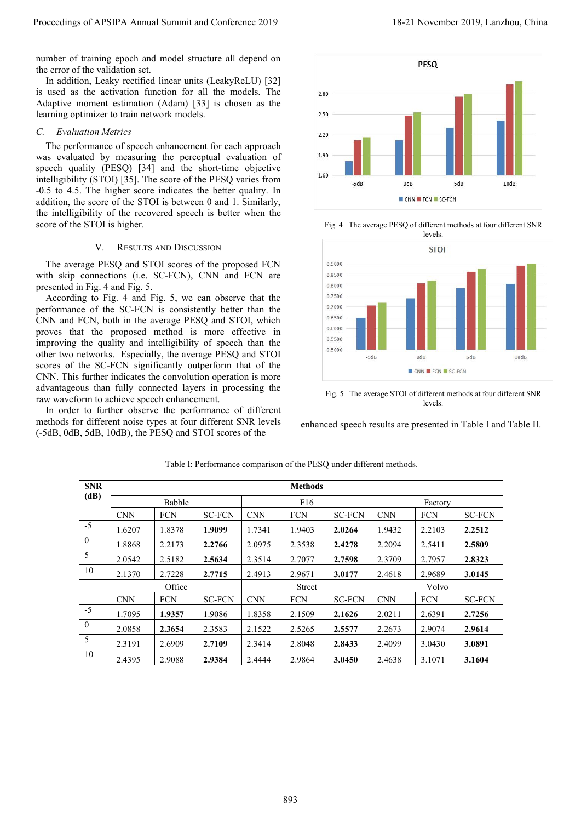Proceedings of APSIPA Annual Summit and Conference 2019<br>number of training epoch and model structure all depend on<br>the error of the validation set.<br>In addition, Leaky rectified linear units (LeakyReLU) [32]<br>is used as the IS-21<br>
IS-21<br>
In the of training epoch and model structure all depend on<br>
e error of the validation set.<br>
In addition, Leaky rectified linear units (LeakyReLU) [32]<br>
used as the activation function for all the models. The<br> Proceedings of APSIPA Annual Summit and Conference 2019<br>
number of training epoch and model structure all depend on<br>
the error of the validation set.<br>
In addition, Leaky rectified linear units (LeakyReLU) [32]<br>
is used as Proceedings of APSIPA Annual Summit and Conferenc<br>
number of training epoch and model structure all dep<br>
the error of the validation set.<br>
In addition, Leaky rectified linear units (LeakyReL)<br>
is used as the activation fun



levels.



levels.

| the error of the validation set. |                                 | number of training epoch and model structure all depend on                                                                                                                                                                                                                                                                                                                          |                         |                             |                            |                                                                      |                             |                        |                                                                                                                                      |      |  |
|----------------------------------|---------------------------------|-------------------------------------------------------------------------------------------------------------------------------------------------------------------------------------------------------------------------------------------------------------------------------------------------------------------------------------------------------------------------------------|-------------------------|-----------------------------|----------------------------|----------------------------------------------------------------------|-----------------------------|------------------------|--------------------------------------------------------------------------------------------------------------------------------------|------|--|
|                                  |                                 | In addition, Leaky rectified linear units (LeakyReLU) [32]<br>is used as the activation function for all the models. The<br>Adaptive moment estimation (Adam) [33] is chosen as the                                                                                                                                                                                                 |                         |                             | 2.80<br>2.50               |                                                                      |                             | PESQ                   |                                                                                                                                      |      |  |
|                                  |                                 | learning optimizer to train network models.                                                                                                                                                                                                                                                                                                                                         |                         |                             |                            |                                                                      |                             |                        |                                                                                                                                      |      |  |
| <b>Evaluation Metrics</b>        |                                 |                                                                                                                                                                                                                                                                                                                                                                                     |                         |                             | 2.20                       |                                                                      |                             |                        |                                                                                                                                      |      |  |
|                                  |                                 | The performance of speech enhancement for each approach<br>was evaluated by measuring the perceptual evaluation of<br>speech quality (PESQ) [34] and the short-time objective<br>intelligibility (STOI) [35]. The score of the PESQ varies from<br>-0.5 to 4.5. The higher score indicates the better quality. In<br>addition, the score of the STOI is between 0 and 1. Similarly, |                         |                             |                            | 1.90<br>1.60<br>$-5dB$<br>0dB<br>10dB<br>5dB<br>CNN FCN SC-FCN       |                             |                        |                                                                                                                                      |      |  |
|                                  | score of the STOI is higher.    | the intelligibility of the recovered speech is better when the                                                                                                                                                                                                                                                                                                                      |                         |                             |                            |                                                                      |                             | levels.                | Fig. 4 The average PESQ of different methods at four different SNR                                                                   |      |  |
| V.                               |                                 | <b>RESULTS AND DISCUSSION</b>                                                                                                                                                                                                                                                                                                                                                       |                         |                             |                            |                                                                      |                             | <b>STOI</b>            |                                                                                                                                      |      |  |
|                                  |                                 | The average PESQ and STOI scores of the proposed FCN                                                                                                                                                                                                                                                                                                                                |                         |                             |                            | 0.9000                                                               |                             |                        |                                                                                                                                      |      |  |
|                                  |                                 | with skip connections (i.e. SC-FCN), CNN and FCN are                                                                                                                                                                                                                                                                                                                                |                         |                             |                            | 0.8500<br>0.8000                                                     |                             |                        |                                                                                                                                      |      |  |
|                                  | presented in Fig. 4 and Fig. 5. | According to Fig. 4 and Fig. 5, we can observe that the                                                                                                                                                                                                                                                                                                                             |                         |                             |                            | 0.7500                                                               |                             |                        |                                                                                                                                      |      |  |
|                                  |                                 | performance of the SC-FCN is consistently better than the                                                                                                                                                                                                                                                                                                                           |                         |                             |                            | 0.7000                                                               |                             |                        |                                                                                                                                      |      |  |
|                                  |                                 |                                                                                                                                                                                                                                                                                                                                                                                     |                         |                             |                            | 0.6500<br>0.6000                                                     |                             |                        |                                                                                                                                      |      |  |
|                                  |                                 | CNN and FCN, both in the average PESQ and STOI, which                                                                                                                                                                                                                                                                                                                               |                         |                             |                            |                                                                      |                             |                        |                                                                                                                                      |      |  |
|                                  |                                 | proves that the proposed method is more effective in                                                                                                                                                                                                                                                                                                                                |                         |                             |                            | 0.5500                                                               |                             |                        |                                                                                                                                      |      |  |
|                                  |                                 | improving the quality and intelligibility of speech than the<br>other two networks. Especially, the average PESQ and STOI                                                                                                                                                                                                                                                           |                         |                             |                            | 0.5000                                                               | $-5dB$                      | 0dB                    | 5dB                                                                                                                                  | 10dB |  |
|                                  |                                 | scores of the SC-FCN significantly outperform that of the                                                                                                                                                                                                                                                                                                                           |                         |                             |                            |                                                                      |                             | CNN FCN SC-FCN         |                                                                                                                                      |      |  |
|                                  |                                 | CNN. This further indicates the convolution operation is more<br>advantageous than fully connected layers in processing the<br>raw waveform to achieve speech enhancement.<br>In order to further observe the performance of different<br>methods for different noise types at four different SNR levels<br>(-5dB, 0dB, 5dB, 10dB), the PESQ and STOI scores of the                 |                         |                             |                            |                                                                      |                             | levels.                | Fig. 5 The average STOI of different methods at four different SNR<br>enhanced speech results are presented in Table I and Table II. |      |  |
|                                  |                                 |                                                                                                                                                                                                                                                                                                                                                                                     |                         |                             |                            | Table I: Performance comparison of the PESQ under different methods. |                             |                        |                                                                                                                                      |      |  |
| <b>SNR</b><br>(dB)               |                                 |                                                                                                                                                                                                                                                                                                                                                                                     |                         |                             | <b>Methods</b>             |                                                                      |                             |                        |                                                                                                                                      |      |  |
|                                  | $\mathop{\rm CNN}\nolimits$     | Babble<br>${\rm FCN}$                                                                                                                                                                                                                                                                                                                                                               | $\operatorname{SC-FCN}$ | $\mathop{\rm CNN}\nolimits$ | ${\rm F}16$<br>${\rm FCN}$ | <b>SC-FCN</b>                                                        | $\mathop{\rm CNN}\nolimits$ | Factory<br>${\rm FCN}$ | $\operatorname{SC-FCN}$                                                                                                              |      |  |
| $-5$                             | 1.6207                          | 1.8378                                                                                                                                                                                                                                                                                                                                                                              | 1.9099                  | 1.7341                      | 1.9403                     | 2.0264                                                               | 1.9432                      | 2.2103                 | 2.2512                                                                                                                               |      |  |
| $\overline{0}$                   | 1.8868                          | 2.2173                                                                                                                                                                                                                                                                                                                                                                              | 2.2766                  | 2.0975                      | 2.3538                     | 2.4278                                                               | 2.2094                      | 2.5411                 | 2.5809                                                                                                                               |      |  |
| $5\overline{)}$                  | 2.0542                          | 2.5182                                                                                                                                                                                                                                                                                                                                                                              | 2.5634                  | 2.3514                      | 2.7077                     | 2.7598                                                               | 2.3709                      | 2.7957                 | 2.8323                                                                                                                               |      |  |
| $10\,$                           | 2.1370                          | 2.7228                                                                                                                                                                                                                                                                                                                                                                              | 2.7715                  | 2.4913                      | 2.9671                     | 3.0177                                                               | 2.4618                      | 2.9689                 | 3.0145                                                                                                                               |      |  |
|                                  |                                 | Office                                                                                                                                                                                                                                                                                                                                                                              |                         |                             | Street                     |                                                                      |                             | Volvo                  |                                                                                                                                      |      |  |
|                                  | $\mbox{CNN}$                    | ${\rm FCN}$                                                                                                                                                                                                                                                                                                                                                                         | $\operatorname{SC-FCN}$ | $\mbox{CNN}$                | <b>FCN</b>                 | <b>SC-FCN</b>                                                        | $\mbox{CNN}$                | ${\mbox{FCN}}$         | $\operatorname{SC-FCN}$                                                                                                              |      |  |
| $-5$                             | 1.7095                          | 1.9357                                                                                                                                                                                                                                                                                                                                                                              | 1.9086                  | 1.8358                      | 2.1509                     | 2.1626                                                               | 2.0211                      | 2.6391                 | 2.7256                                                                                                                               |      |  |
| $\mathbf{0}$                     | 2.0858                          | 2.3654                                                                                                                                                                                                                                                                                                                                                                              | 2.3583                  | 2.1522                      | 2.5265                     | 2.5577                                                               | 2.2673                      | 2.9074                 | 2.9614                                                                                                                               |      |  |
| 5<br>10                          | 2.3191<br>2.4395                | 2.6909<br>2.9088                                                                                                                                                                                                                                                                                                                                                                    | 2.7109<br>2.9384        | 2.3414<br>2.4444            | 2.8048<br>2.9864           | 2.8433<br>3.0450                                                     | 2.4099<br>2.4638            | 3.0430<br>3.1071       | 3.0891<br>3.1604                                                                                                                     |      |  |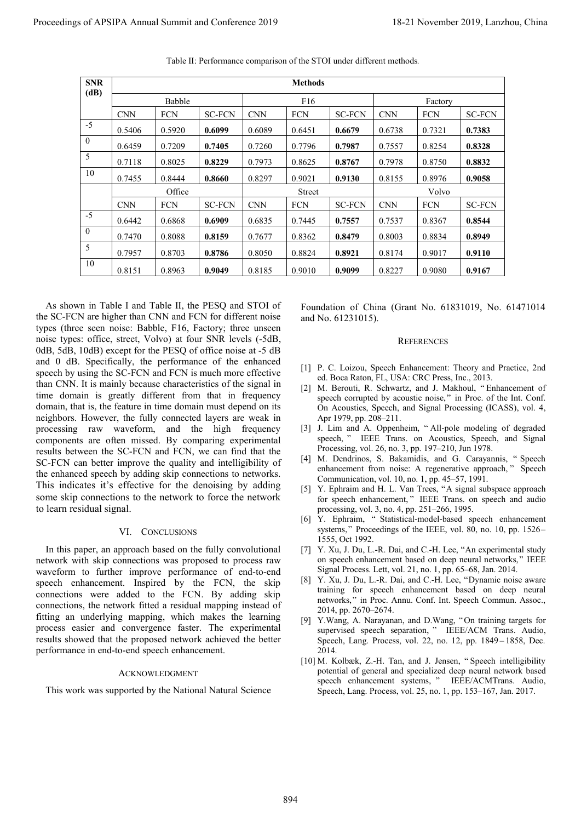| <b>SNR</b><br>(dB)        |                                               |                  |                                                                                                                                                                                                                                                                                                                                                                                                                                                                                                                                                                |                  | <b>Methods</b>   |                                                                                                                                                                                                                                                                                                                                                                                                                                                                                                                                                                                                                                                                                                                                                                      |                                                                |                  |                  |  |
|---------------------------|-----------------------------------------------|------------------|----------------------------------------------------------------------------------------------------------------------------------------------------------------------------------------------------------------------------------------------------------------------------------------------------------------------------------------------------------------------------------------------------------------------------------------------------------------------------------------------------------------------------------------------------------------|------------------|------------------|----------------------------------------------------------------------------------------------------------------------------------------------------------------------------------------------------------------------------------------------------------------------------------------------------------------------------------------------------------------------------------------------------------------------------------------------------------------------------------------------------------------------------------------------------------------------------------------------------------------------------------------------------------------------------------------------------------------------------------------------------------------------|----------------------------------------------------------------|------------------|------------------|--|
|                           | Babble                                        |                  |                                                                                                                                                                                                                                                                                                                                                                                                                                                                                                                                                                |                  | F <sub>16</sub>  |                                                                                                                                                                                                                                                                                                                                                                                                                                                                                                                                                                                                                                                                                                                                                                      |                                                                | Factory          |                  |  |
| $-5$                      | $\mathop{\rm CNN}\nolimits$                   | <b>FCN</b>       | <b>SC-FCN</b>                                                                                                                                                                                                                                                                                                                                                                                                                                                                                                                                                  | <b>CNN</b>       | FCN              | $SC\mbox{-}\mathrm{FCN}$                                                                                                                                                                                                                                                                                                                                                                                                                                                                                                                                                                                                                                                                                                                                             | $\mathop{\rm CNN}\nolimits$                                    | <b>FCN</b>       | <b>SC-FCN</b>    |  |
| $\boldsymbol{0}$          | 0.5406<br>0.6459                              | 0.5920<br>0.7209 | 0.6099<br>0.7405                                                                                                                                                                                                                                                                                                                                                                                                                                                                                                                                               | 0.6089<br>0.7260 | 0.6451<br>0.7796 | 0.6679<br>0.7987                                                                                                                                                                                                                                                                                                                                                                                                                                                                                                                                                                                                                                                                                                                                                     | 0.6738<br>0.7557                                               | 0.7321<br>0.8254 | 0.7383<br>0.8328 |  |
| 5                         | 0.7118                                        | 0.8025           | 0.8229                                                                                                                                                                                                                                                                                                                                                                                                                                                                                                                                                         | 0.7973           | 0.8625           | 0.8767                                                                                                                                                                                                                                                                                                                                                                                                                                                                                                                                                                                                                                                                                                                                                               | 0.7978                                                         | 0.8750           | 0.8832           |  |
| 10                        | 0.7455                                        | 0.8444           | 0.8660                                                                                                                                                                                                                                                                                                                                                                                                                                                                                                                                                         | 0.8297           | 0.9021           | 0.9130                                                                                                                                                                                                                                                                                                                                                                                                                                                                                                                                                                                                                                                                                                                                                               | 0.8155                                                         | 0.8976           | 0.9058           |  |
|                           |                                               | Office           |                                                                                                                                                                                                                                                                                                                                                                                                                                                                                                                                                                |                  | Street           |                                                                                                                                                                                                                                                                                                                                                                                                                                                                                                                                                                                                                                                                                                                                                                      |                                                                | Volvo            |                  |  |
| $-5$                      | $\mathop{\rm CNN}\nolimits$                   | FCN              | <b>SC-FCN</b>                                                                                                                                                                                                                                                                                                                                                                                                                                                                                                                                                  | <b>CNN</b>       | FCN              | <b>SC-FCN</b>                                                                                                                                                                                                                                                                                                                                                                                                                                                                                                                                                                                                                                                                                                                                                        | $\mathop{\rm CNN}\nolimits$                                    | <b>FCN</b>       | <b>SC-FCN</b>    |  |
| $\mathbf{0}$              | 0.6442                                        | 0.6868           | 0.6909                                                                                                                                                                                                                                                                                                                                                                                                                                                                                                                                                         | 0.6835           | 0.7445           | 0.7557                                                                                                                                                                                                                                                                                                                                                                                                                                                                                                                                                                                                                                                                                                                                                               | 0.7537                                                         | 0.8367           | 0.8544           |  |
| $\sqrt{5}$                | 0.7470                                        | 0.8088           | 0.8159                                                                                                                                                                                                                                                                                                                                                                                                                                                                                                                                                         | 0.7677           | 0.8362           | 0.8479                                                                                                                                                                                                                                                                                                                                                                                                                                                                                                                                                                                                                                                                                                                                                               | 0.8003                                                         | 0.8834           | 0.8949           |  |
| 10                        | 0.7957                                        | 0.8703           | 0.8786                                                                                                                                                                                                                                                                                                                                                                                                                                                                                                                                                         | 0.8050           | 0.8824           | 0.8921                                                                                                                                                                                                                                                                                                                                                                                                                                                                                                                                                                                                                                                                                                                                                               | 0.8174                                                         | 0.9017           | 0.9110           |  |
|                           | 0.8151                                        | 0.8963           | 0.9049                                                                                                                                                                                                                                                                                                                                                                                                                                                                                                                                                         | 0.8185           | 0.9010           | 0.9099                                                                                                                                                                                                                                                                                                                                                                                                                                                                                                                                                                                                                                                                                                                                                               | 0.8227                                                         | 0.9080           | 0.9167           |  |
| to learn residual signal. |                                               |                  | domain, that is, the feature in time domain must depend on its<br>neighbors. However, the fully connected layers are weak in<br>processing raw waveform, and the high frequency<br>components are often missed. By comparing experimental<br>results between the SC-FCN and FCN, we can find that the<br>SC-FCN can better improve the quality and intelligibility of<br>the enhanced speech by adding skip connections to networks.<br>This indicates it's effective for the denoising by adding<br>some skip connections to the network to force the network |                  |                  | speech corrupted by acoustic noise," in Proc. of the Int. Conf.<br>On Acoustics, Speech, and Signal Processing (ICASS), vol. 4,<br>Apr 1979, pp. 208-211.<br>[3] J. Lim and A. Oppenheim, "All-pole modeling of degraded<br>speech, " IEEE Trans. on Acoustics, Speech, and Signal<br>Processing, vol. 26, no. 3, pp. 197–210, Jun 1978.<br>[4] M. Dendrinos, S. Bakamidis, and G. Carayannis, "Speech<br>enhancement from noise: A regenerative approach," Speech<br>Communication, vol. 10, no. 1, pp. 45–57, 1991.<br>[5] Y. Ephraim and H. L. Van Trees, "A signal subspace approach<br>for speech enhancement," IEEE Trans. on speech and audio<br>processing, vol. 3, no. 4, pp. 251-266, 1995.<br>[6] Y. Ephraim, "Statistical-model-based speech enhancement |                                                                |                  |                  |  |
|                           |                                               | VI. CONCLUSIONS  |                                                                                                                                                                                                                                                                                                                                                                                                                                                                                                                                                                |                  |                  | systems," Proceedings of the IEEE, vol. 80, no. 10, pp. 1526–                                                                                                                                                                                                                                                                                                                                                                                                                                                                                                                                                                                                                                                                                                        |                                                                |                  |                  |  |
|                           | performance in end-to-end speech enhancement. |                  | In this paper, an approach based on the fully convolutional<br>network with skip connections was proposed to process raw<br>waveform to further improve performance of end-to-end<br>speech enhancement. Inspired by the FCN, the skip<br>connections were added to the FCN. By adding skip<br>connections, the network fitted a residual mapping instead of<br>fitting an underlying mapping, which makes the learning<br>process easier and convergence faster. The experimental<br>results showed that the proposed network achieved the better             |                  |                  | 1555, Oct 1992.<br>[7] Y. Xu, J. Du, L.-R. Dai, and C.-H. Lee, "An experimental study<br>on speech enhancement based on deep neural networks," IEEE<br>Signal Process. Lett, vol. 21, no. 1, pp. 65–68, Jan. 2014.<br>[8] Y. Xu, J. Du, L.-R. Dai, and C.-H. Lee, "Dynamic noise aware<br>training for speech enhancement based on deep neural<br>networks," in Proc. Annu. Conf. Int. Speech Commun. Assoc.,<br>2014, pp. 2670–2674.<br>[9] Y.Wang, A. Narayanan, and D.Wang, "On training targets for<br>supervised speech separation, " IEEE/ACM Trans. Audio,<br>Speech, Lang. Process, vol. 22, no. 12, pp. 1849-1858, Dec.<br>2014.<br>[10] M. Kolbæk, Z.-H. Tan, and J. Jensen, "Speech intelligibility                                                       | potential of general and specialized deep neural network based |                  |                  |  |

# ACKNOWLEDGMENT

## **REFERENCES**

- 
- **0.8921**  $0.8174$   $0.9017$   $0.9110$ <br> **0.9099**  $0.8227$   $0.9080$   $0.9167$ <br>
<br> **ndation of China (Grant No. 61831019, No. 61471014**<br> **No. 61231015).**<br> **REFERENCES**<br> **P. C. Loizou, Speech Enhancement: Theory and Practice, 2nd** Foundation of China (Grant No. 61831019, No. 61471014<br>
and No. 61231015).<br>
REFERENCES<br>
[1] P. C. Loizou, Speech Enhancement: Theory and Practice, 2nd<br>
ed. Boca Raton, FL, USA: CRC Press, Inc., 2013.<br>
[2] M. Berouti, R. Sc **0.9099**  $\vert$  0.8227  $\vert$  0.9080  $\vert$  **0.9167**<br>
ndation of China (Grant No. 61831019, No. 61471014<br>
No. 61231015).<br> **REFERENCES**<br>
P. C. Loizou, Speech Enhancement: Theory and Practice, 2nd<br>
ed. Boca Raton, FL, USA: CRC Pr ndation of China (Grant No. 61831019, No. 61471014<br>
No. 61231015).<br>
REFERENCES<br>
P. C. Loizou, Speech Enhancement: Theory and Practice, 2nd<br>
ed. Boca Raton, FL, USA: CRC Press, Inc., 2013.<br>
M. Berouti, R. Schwartz, and J. M ndation of China (Grant No. 61831019, No.<br>
No. 61231015).<br>
REFERENCES<br>
P. C. Loizou, Speech Enhancement: Theory and P.<br>
ed. Boca Raton, FL, USA: CRC Press, Inc., 2013.<br>
M. Berouti, R. Schwartz, and J. Makhoul, "Enha<br>
speec Foundation of China (Grant No. 61831019, No. 61471014<br>
and No. 61231015).<br>
REFERENCES<br>
[1] P. C. Loizou, Speech Enhancement: Theory and Practice, 2nd<br>
ed. Boca Raton, FL, USA: CRC Press, Inc., 2013.<br>
[2] M. Berouti, R. Sch ndation of China (Grant No. 61831019, No. 614/1014<br>
No. 61231015).<br>
REFERENCES<br>
P. C. Loizou, Speech Enhancement: Theory and Practice, 2nd<br>
ed. Boca Raton, FL, USA: CRC Press, Inc., 2013.<br>
M. Berouti, R. Schwartz, and J. M No. 61231015).<br>
REFERENCES<br>
P. C. Loizou, Speech Enhancement: Theory and Practice, 2nd<br>
ed. Boca Raton, FL, USA: CRC Press, Inc., 2013.<br>
M. Berouti, R. Schwartz, and J. Makhoul, "Enhancement of<br>
speech corrupted by acousti REFERENCES<br>
[1] P. C. Loizou, Speech Enhancement: Theory and Practice, 2nd<br>
ed. Boca Raton, FL, USA: CRC Press, Inc., 2013.<br>
[2] M. Berouti, R. Schwartz, and J. Makhoul, "Enhancement of<br>
speech corrupted by acoustic noise, REFERENCES<br>
P. C. Loizou, Speech Enhancement: Theory and Practice, 2nd<br>
ed. Boca Raton, FL, USA: CRC Press, Inc., 2013.<br>
M. Berouti, R. Schwartz, and J. Makhoul, "Enhancement of<br>
speech corrupted by acoustic noise," in Pro P. C. Loizou, Speech Enhancement: Theory and Practice, 2nd<br>ed. Boca Raton, FL, USA: CRC Press, Inc., 2013.<br>M. Berouti, R. Schwartz, and J. Makhoul, "Enhancement of<br>speech corrupted by acoustic noise," in Proc. of the Int. [1] P. C. Loizou, Speech Enhancement: Theory and Practice, 2nd<br>
ed. Boca Raton, FL, USA: CRC Press, Inc., 2013.<br>
[2] M. Berouti, R. Schwartz, and J. Makhoul, "Enhancement of<br>
speech corrupted by acoustic noise," in Proc. P. C. Loizou, Speech Enhancement: Theory and Practice, 2nd<br>ed. Boca Raton, FL, USA: CRC Press, Inc., 2013.<br>M. Berouti, R. Schwartz, and J. Makhoul, "Enhancement of<br>speech corrupted by acoustic noise," in Proc. of the Int. ed. Boca Raton, FL, USA: CRC Press, Inc., 2013.<br>
M. Berouti, R. Schwartz, and J. Makhoul, "Enhancement of<br>
speech corrupted by acoustic noise," in Proc. of the Int. Conf.<br>
On Acoustics, Speech, and Signal Processing (ICASS [2] M. Berouti, R. Schwartz, and J. Makhoul, "Enhancement of speech corrupted by acoustic noise," in Proc. of the Int. Conf.<br>
On Acoustics, Speech, and Signal Processing (ICASS), vol. 4,<br>
Apr 1979, pp. 208–211.<br>
[3] J. Lim
- speech corrupted by acoustic noise," in Proc. of the Int. Conf.<br>On Acoustics, Speech, and Signal Processing (ICASS), vol. 4,<br>Apr 1979, pp. 208–211.<br>J. Lim and A. Oppenheim, "All-pole modeling of degraded<br>speech," IEEE Tran On Acoustics, Speech, and Signal Processing (<br>
Apr 1979, pp. 208–211.<br>
J. Lim and A. Oppenheim, "All-pole modelii<br>
speech," IEEE Trans. on Acoustics, Speec<br>
Processing, vol. 26, no. 3, pp. 197–210, Jun 1978<br>
M. Dendrinos, Apr 19/9, pp. 208–211.<br>
[3] J. Lim and A. Oppenheim, "All-pole modeling of degraded<br>
speech, "IEEE Trans. on Acoustics, Speech, and Signal<br>
Processing, vol. 26, no. 3, pp. 197–210, Jun 1978.<br>
[4] M. Dendrinos, S. Bakamidi
- 
- J. Lim and A. Oppenheim, "All-pole modeling of degraded<br>speech, "IEEE Trans. on Acoustics, Speech, and Signal<br>Processing, vol. 26, no. 3, pp. 197-210, Jun 1978.<br>M. Dendrinos, S. Bakamidis, and G. Carayannis, "Speech<br>enhanc
- 
- 
- speech, " LEEE Irans. on Acoustics, Speech, and Signal<br>
Processing, vol. 26, no. 3, pp. 197–210, Jun 1978.<br>
M. Dendrinos, S. Bakamidis, and G. Carayannis, "Speech<br>
enhancement from noise: A regenerative approach," Speech<br> Processing, vol. 26, no. 3, pp. 19/-210, Jun 1978.<br>
[4] M. Dendrinos, S. Bakamidis, and G. Carayannis, " Speech<br>
enhancement from noise: A regenerative approach," Speech<br>
Communication, vol. 10, no. 1, pp. 45-57, 1991.<br>
[5 M. Dendrinos, S. Bakamidis, and G. Carayannis, "Speech<br>enhancement from noise: A regenerative approach," Speech<br>Communication, vol. 10, no. 1, pp. 45–57, 1991.<br>Y. Ephraim and H. L. Van Trees, "A signal subspace approach<br>fo enhancement from noise: A regenerative approach, "Speech<br>
Communication, vol. 10, no. 1, pp. 45–57, 1991.<br>
Y. Ephraim and H. L. Van Trees, "A signal subspace approach<br>
for speech enhancement, " IEEE Trans. on speech and au Communication, vol. 10, no. 1, pp. 45–57, 1991.<br>
Y. Ephraim and H. L. Van Trees, "A signal sul<br>
for speech enhancement," IEEE Trans. on sp<br>
processing, vol. 3, no. 4, pp. 251–266, 1995.<br>
Y. Ephraim, " Statistical-model-bas [9] Y. Ephraim and H. L. Van Trees, "A signal subspace approach<br>for speech enhancement," IEEE Trans. on speech and audio<br>processing, vol. 3, no. 4, pp. 251–266, 1995.<br>[6] Y. Ephraim, "Statistical-model-based speech enhance for speech enhancement," IEEE Irans. on speech and audio<br>processing, vol. 3, no. 4, pp. 251–266, 1995.<br>Y. Ephraim, "Statistical-model-based speech enhancement<br>systems," Proceedings of the IEEE, vol. 80, no. 10, pp. 1526–<br>1 processing, vol. 3, no. 4, pp. 251–266, 1995.<br>
Y. Ephraim, " Statistical-model-based speech enhancement<br>
Systems, "Proceedings of the IEEE, vol. 80, no. 10, pp. 1526–<br>
1555, Oct 1992.<br>
Y. Xu, J. Du, L.-R. Dai, and C.-H. Le systems," Proceedings of the IEEE, vol. 80, no. 10, pp. 1526–1555, Oct 1992.<br>
[7] Y. Xu, J. Du, L.-R. Dai, and C.-H. Lee, "An experimental study on speech enhancement based on deep neural networks," IEEE Signal Process. Le 1555, Oct 1992.<br>
Y. Xu, J. Du, L.-R. Dai, and C.-H. Lee, "An experimental study<br>
or speech enhancement based on deep neural networks," IEEE<br>
Signal Process. Lett, vol. 21, no. 1, pp. 65–68, Jan. 2014.<br>
Y. Xu, J. Du, L.-R. Y. Xu, J. Du, L.-R. Dai, and C.-H. Lee, "An experimental study<br>on speech enhancement based on deep neural networks," IEEE<br>Signal Process. Lett, vol. 21, no. 1, pp. 65–68, Jan. 2014.<br>Y. Xu, J. Du, L.-R. Dai, and C.-H. Lee, on speech enhancement based on deep neural networks," IEEE<br>Signal Process. Lett, vol. 21, no. 1, pp. 65–68, Jan. 2014.<br>Y. Xu, J. Du, L.-R. Dai, and C.-H. Lee, "Dynamic noise aware<br>training for speech enhancement based on d
- 2014.
-